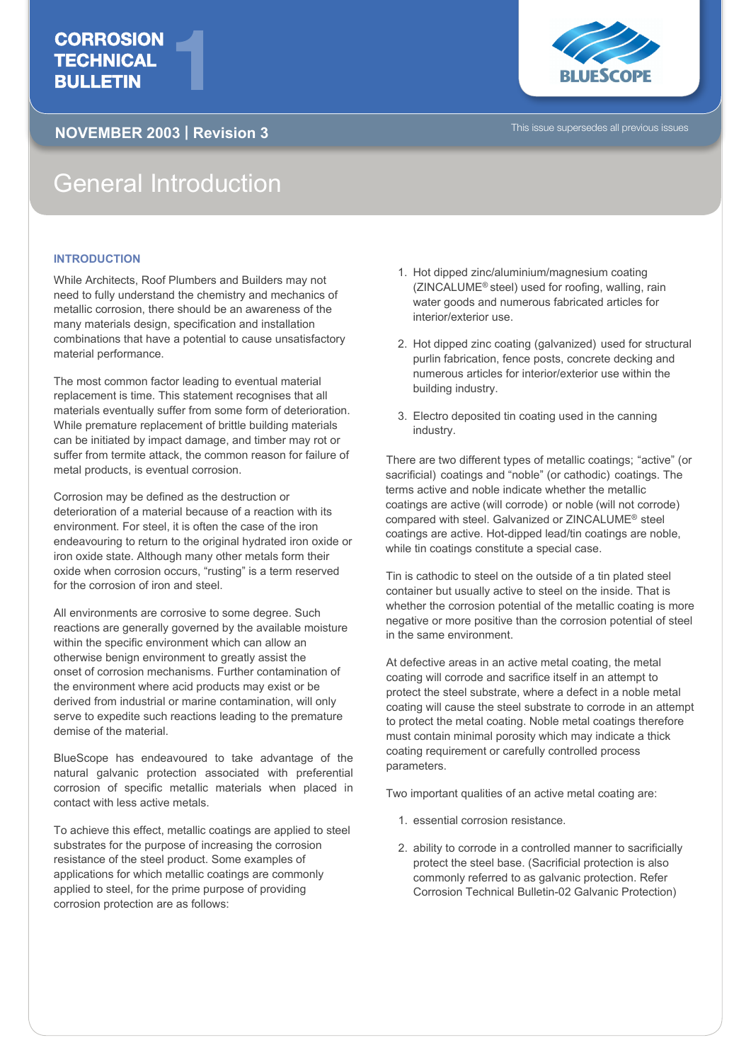## **CORROSION TECHNICAL** CORROSION<br>TECHNICAL<br>BULLETIN

## **NOVEMBER 2003 | Revision 3** This issue supersedes all previous issues



## General Introduction

## **INTRODUCTION**

While Architects, Roof Plumbers and Builders may not need to fully understand the chemistry and mechanics of metallic corrosion, there should be an awareness of the many materials design, specification and installation combinations that have a potential to cause unsatisfactory material performance.

The most common factor leading to eventual material replacement is time. This statement recognises that all materials eventually suffer from some form of deterioration. While premature replacement of brittle building materials can be initiated by impact damage, and timber may rot or suffer from termite attack, the common reason for failure of metal products, is eventual corrosion.

Corrosion may be defined as the destruction or deterioration of a material because of a reaction with its environment. For steel, it is often the case of the iron endeavouring to return to the original hydrated iron oxide or iron oxide state. Although many other metals form their oxide when corrosion occurs, "rusting" is a term reserved for the corrosion of iron and steel.

All environments are corrosive to some degree. Such reactions are generally governed by the available moisture within the specific environment which can allow an otherwise benign environment to greatly assist the onset of corrosion mechanisms. Further contamination of the environment where acid products may exist or be derived from industrial or marine contamination, will only serve to expedite such reactions leading to the premature demise of the material.

BlueScope has endeavoured to take advantage of the natural galvanic protection associated with preferential corrosion of specific metallic materials when placed in contact with less active metals.

To achieve this effect, metallic coatings are applied to steel substrates for the purpose of increasing the corrosion resistance of the steel product. Some examples of applications for which metallic coatings are commonly applied to steel, for the prime purpose of providing corrosion protection are as follows:

- 1. Hot dipped zinc/aluminium/magnesium coating (ZINCALUME® steel) used for roofing, walling, rain water goods and numerous fabricated articles for interior/exterior use.
- 2. Hot dipped zinc coating (galvanized) used for structural purlin fabrication, fence posts, concrete decking and numerous articles for interior/exterior use within the building industry.
- 3. Electro deposited tin coating used in the canning industry.

There are two different types of metallic coatings; "active" (or sacrificial) coatings and "noble" (or cathodic) coatings. The terms active and noble indicate whether the metallic coatings are active (will corrode) or noble (will not corrode) compared with steel. Galvanized or ZINCALUME® steel coatings are active. Hot-dipped lead/tin coatings are noble, while tin coatings constitute a special case.

Tin is cathodic to steel on the outside of a tin plated steel container but usually active to steel on the inside. That is whether the corrosion potential of the metallic coating is more negative or more positive than the corrosion potential of steel in the same environment.

At defective areas in an active metal coating, the metal coating will corrode and sacrifice itself in an attempt to protect the steel substrate, where a defect in a noble metal coating will cause the steel substrate to corrode in an attempt to protect the metal coating. Noble metal coatings therefore must contain minimal porosity which may indicate a thick coating requirement or carefully controlled process parameters.

Two important qualities of an active metal coating are:

- 1. essential corrosion resistance.
- 2. ability to corrode in a controlled manner to sacrificially protect the steel base. (Sacrificial protection is also commonly referred to as galvanic protection. Refer Corrosion Technical Bulletin-02 Galvanic Protection)